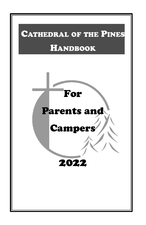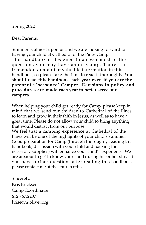Spring 2022

Dear Parents,

Summer is almost upon us and we are looking forward to having your child at Cathedral of the Pines Camp! This handbook is designed to answer most of the questions you may have about Camp. There is a tremendous amount of valuable information in this handbook, so please take the time to read it thoroughly. **You should read this handbook each year even if you are the parent of a "seasoned" Camper. Revisions in policy and procedures are made each year to better serve our campers.**

When helping your child get ready for Camp, please keep in mind that we send our children to Cathedral of the Pines to learn and grow in their faith in Jesus, as well as to have a great time. Please do not allow your child to bring anything that would distract from our purpose.

We feel that a camping experience at Cathedral of the Pines will be one of the highlights of your child's summer. Good preparation for Camp (through thoroughly reading this handbook, discussion with your child and packing the necessary supplies) will enhance your child's experience. We are anxious to get to know your child during his or her stay. If you have further questions after reading this handbook, please contact me at the church office.

Sincerely, Kris Ericksen Camp Coordinator 612.767.2207 krise@mtolivet.org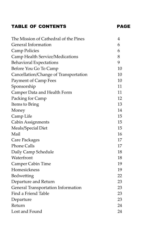# TABLE OF CONTENTS PAGE

| The Mission of Cathedral of the Pines  | 4  |
|----------------------------------------|----|
| General Information                    | 6  |
| Camp Policies                          | 6  |
| <b>Camp Health Service/Medications</b> | 8  |
| <b>Behavioral Expectations</b>         | 9  |
| Before You Go To Camp                  | 10 |
| Cancellation/Change of Transportation  | 10 |
| Payment of Camp Fees                   | 10 |
| Sponsorship                            | 11 |
| Camper Data and Health Form            | 11 |
| Packing for Camp                       | 12 |
| Items to Bring                         | 13 |
| Money                                  | 14 |
| Camp Life                              | 15 |
| Cabin Assignments                      | 15 |
| Meals/Special Diet                     | 15 |
| Mail                                   | 16 |
| Care Packages                          | 17 |
| <b>Phone Calls</b>                     | 17 |
| Daily Camp Schedule                    | 18 |
| Waterfront                             | 18 |
| <b>Camper Cabin Time</b>               | 19 |
| Homesickness                           | 19 |
| Bedwetting                             | 22 |
| Departure and Return                   | 23 |
| General Transportation Information     | 23 |
| Find a Friend Table                    | 23 |
| Departure                              | 23 |
| Return                                 | 24 |
| Lost and Found                         | 24 |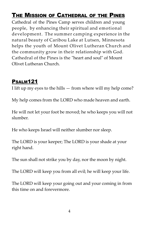# THE MISSION OF CATHEDRAL OF THE PINES

Cathedral of the Pines Camp serves children and young people, by enhancing their spiritual and emotional development. The summer camping experience in the natural beauty of Caribou Lake at Lutsen, Minnesota helps the youth of Mount Olivet Lutheran Church and the community grow in their relationship with God. Cathedral of the Pines is the "heart and soul" of Mount Olivet Lutheran Church.

## PSALM121

I lift up my eyes to the hills — from where will my help come?

My help comes from the LORD who made heaven and earth.

He will not let your foot be moved; he who keeps you will not slumber.

He who keeps Israel will neither slumber nor sleep.

The LORD is your keeper; The LORD is your shade at your right hand.

The sun shall not strike you by day, nor the moon by night.

The LORD will keep you from all evil; he will keep your life.

The LORD will keep your going out and your coming in from this time on and forevermore.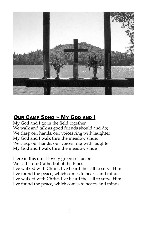

## OUR CAMP SONG ~ MY GOD AND I

My God and I go in the field together, We walk and talk as good friends should and do; We clasp our hands, our voices ring with laughter My God and I walk thru the meadowʹs hue; We clasp our hands, our voices ring with laughter My God and I walk thru the meadowʹs hue

Here in this quiet lovely green seclusion We call it our Cathedral of the Pines I've walked with Christ, I've heard the call to serve Him I've found the peace, which comes to hearts and minds. I've walked with Christ, I've heard the call to serve Him I've found the peace, which comes to hearts and minds.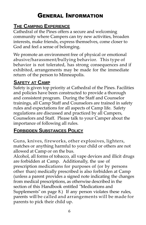# GENERAL INFORMATION

# **THE CAMPING EXPERIENCE**

Cathedral of the Pines offers a secure and welcoming community where Campers can try new activities, broaden interests, make friends, express themselves, come closer to God and feel a sense of belonging.

We promote an environment free of physical or emotional abusive/harassment/bullying behavior. This type of behavior is not tolerated, has strong consequences and if exhibited, arrangements may be made for the immediate return of the person to Minneapolis.

# **SAFETY AT CAMP**

Safety is given top priority at Cathedral of the Pines. Facilities and policies have been constructed to provide a thorough and consistent program. During the Staff and Counselor trainings, all Camp Staff and Counselors are trained in safety rules and expectations for all aspects of Camp life. Safety regulations are discussed and practiced by all Campers, Counselors and Staff. Please talk to your Camper about the importance of following all rules.

## **FORBIDDEN SUBSTANCES POLICY**

Guns, knives, fireworks, other explosives, lighters, matches or anything harmful to your child or others are not allowed at Camp or on the bus.

Alcohol, all forms of tobacco, all vape devices and illicit drugs are forbidden at Camp. Additionally, the use of prescription medications for purposes of (or by persons other than) medically prescribed is also forbidden at Camp (unless a parent provides a signed note indicating the changes from medical prescriptions, as otherwise described in the section of this Handbook entitled "Medications and Supplements" on page 8.) If any person violates these rules, parents will be called and arrangements will be made for parents to pick their child up.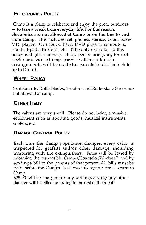# **ELECTRONICS POLICY**

Camp is a place to celebrate and enjoy the great outdoors — to take a break from everyday life. For this reason, **electronics are not allowed at Camp or on the bus to and from Camp**. This includes: cell phones, stereos, boom boxes, MP3 players, Gameboys, T.V.ʹs, DVD players, computers, I‐pods, I‐pads, tablets, etc. (The only exception to this policy is digital cameras). If any person brings any form of electronic device to Camp, parents will be called and arrangements will be made for parents to pick their child up in Duluth.

# **WHEEL POLICY**

Skateboards, Rollerblades, Scooters and Rollerskate Shoes are not allowed at camp.

## **OTHER ITEMS**

The cabins are very small. Please do not bring excessive equipment such as sporting goods, musical instruments, coolers, etc.

# **DAMAGE CONTROL POLICY**

Each time the Camp population changes, every cabin is inspected for graffiti and/or other damage, including tampering with fire extinguishers. Fines will be levied by informing the responsible Camper/Counselor/Workstaff and by sending a bill to the parents of that person. All bills must be paid before the Camper is allowed to register for a return to Camp.

\$25.00 will be charged for any writing/carving; any other damage will be billed according to the cost of the repair.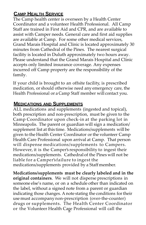# **CAMP HEALTH SERVICE**

The Camp health center is overseen by a Health Center Coordinator and a volunteer Health Professional. All Camp Staff are trained in First Aid and CPR, and are available to assist with Camper needs. General care and first aid supplies are available at Camp. For some other medical services, Grand Marais Hospital and Clinic is located approximately 30 minutes from Cathedral of the Pines. The nearest surgical facility is located in Duluth approximately two hours away. Please understand that the Grand Marais Hospital and Clinic accepts only limited insurance coverage. Any expenses incurred off Camp property are the responsibility of the family.

If your child is brought to an offsite facility, is prescribed medication, or should otherwise need any emergency care, the Health Professional or a Camp Staff member will contact you.

#### **MEDICATIONS AND SUPPLEMENTS**

ALL medications and supplements (ingested and topical), both prescription and non‐prescription, must be given to the Camp Coordinator upon check‐in at the parking lot in Minneapolis. The parent or guardian will sign a medication/ supplement list at this time. Medications/supplements will be given to the Health Center Coordinator or the volunteer Camp Health Care Professional upon arrival at Camp. That person will dispense medications/supplements to Campers. However, it is the Camper's responsibility to ingest their medications/supplements. Cathedral of the Pines will not be liable for a Camper's failure to ingest the medications/supplements provided by a Staff member.

or the Volunteer Health Ca<sub>g</sub>e Professional will call the **Medications/supplements must be clearly labeled and in the original containers**. We will not disperse prescriptions in someone else's name, or on a schedule other than indicated on the label, without a signed note from a parent or guardian indicating those changes. A note stating the conditions for their use must accompany non‐prescription (over‐the‐counter) drugs or supplements. The Health Center Coordinator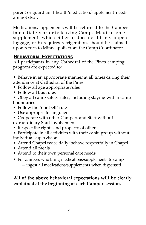parent or guardian if health/medication/supplement needs are not clear.

Medications/supplements will be returned to the Camper immediately prior to leaving Camp. Medications/ supplements which either a) does not fit in Campers luggage, or b) requires refrigeration, should be claimed upon return to Minneapolis from the Camp Coordinator.

# **BEHAVIORAL EXPECTATIONS**

All participants in any Cathedral of the Pines camping program are expected to:

- Behave in an appropriate manner at all times during their attendance at Cathedral of the Pines
- Follow all age appropriate rules
- Follow all bus rules
- Obey all camp safety rules, including staying within camp boundaries
- Follow the "one bell" rule
- Use appropriate language
- Cooperate with other Campers and Staff without extraordinary Staff involvement
- Respect the rights and property of others
- Participate in all activities with their cabin group without individual supervision
- Attend Chapel twice daily; behave respectfully in Chapel
- Attend all meals
- Attend to their own personal care needs
- For campers who bring medications/supplements to camp — ingest all medications/supplements when dispensed.

### **All of the above behavioral expectations will be clearly explained at the beginning of each Camper session.**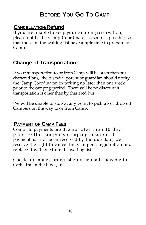# **BEFORE YOU GO TO CAMP**

# **CANCELLATION/Refund**

If you are unable to keep your camping reservation, please notify the Camp Coordinator as soon as possible, so that those on the waiting list have ample time to prepare for Camp.

# **Change of Transportation**

If your transportation to or from Camp will be other than our chartered bus, the custodial parent or guardian should notify the Camp Coordinator, in writing no later than one week prior to the camping period. There will be no discount if transportation is other than by chartered bus.

We will be unable to stop at any point to pick up or drop off Campers on the way to or from Camp.

## **PAYMENT OF CAMP FEES**

Complete payments are due no later than 10 days prior to the camper's camping session. If payment has not been received by the due date, we reserve the right to cancel the Camperʹs registration and replace it with one from the waiting list.

Checks or money orders should be made payable to Cathedral of the Pines, Inc.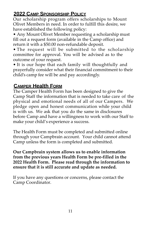# **2022 CAMP SPONSORSHIP POLICY**

Our scholarship program offers scholarships to Mount Olivet Members in need. In order to fulfill this desire, we have established the following policy:

• Any Mount Olivet Member requesting a scholarship must fill out a request form (available in the Camp office) and return it with a \$50.00 non‐refundable deposit.

• The request will be submitted to the scholarship committee for approval. You will be advised as to the outcome of your request.

• It is our hope that each family will thoughtfully and prayerfully consider what their financial commitment to their child's camp fee will be and pay accordingly.

# **CAMPER Health FORM**

The Camper Health Form has been designed to give the Camp Staff the information that is needed to take care of the physical and emotional needs of all of our Campers. We pledge open and honest communication while your child is with us. We ask that you do the same in disclosures before Camp and have a willingness to work with our Staff to make your child's experience a success.

The Health Form must be completed and submitted online through your Campbrain account. Your child cannot attend Camp unless the form is completed and submitted.

**Our Campbrain system allows us to enable information from the previous years Health Form be pre-filled in the 2022 Health Form. Please read through the information to ensure that it is still accurate and update as needed.**

If you have any questions or concerns, please contact the Camp Coordinator.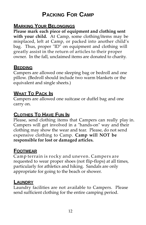# **PACKING FOR CAMP**

### **MARKING YOUR BELONGINGS**

**Please mark each piece of equipment and clothing sent with your child.** At Camp, some clothing/items may be misplaced, left at Camp, or packed into another child's bag. Thus, proper "ID" on equipment and clothing will greatly assist in the return of articles to their proper owner. In the fall, unclaimed items are donated to charity.

#### **BEDDING**

Campers are allowed one sleeping bag or bedroll and one pillow. (Bedroll should include two warm blankets or the equivalent and single sheets.)

# **WHAT TO PACK IN**

Campers are allowed one suitcase or duffel bag and one carry on.

## **CLOTHES TO HAVE FUN IN**

Please, send clothing items that Campers can really play in. Campers will get involved in a "hands‐on" way and their clothing may show the wear and tear. Please, do not send expensive clothing to Camp. **Camp will NOT be responsible for lost or damaged articles.**

# **FOOTWEAR**

Camp terrain is rocky and uneven. Campers are requested to wear proper shoes (not flip‐flops) at all times, particularly for athletics and hiking. Sandals are only appropriate for going to the beach or shower.

### **LAUNDRY**

Laundry facilities are not available to Campers. Please send sufficient clothing for the entire camping period.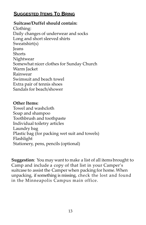# **SUGGESTED ITEMS TO BRING**

#### **Suitcase/Duffel should contain:**

Clothing: Daily changes of underwear and socks Long and short sleeved shirts Sweatshirt(s) Jeans **Shorts** Nightwear Somewhat nicer clothes for Sunday Church Warm Jacket Rainwear Swimsuit and beach towel Extra pair of tennis shoes Sandals for beach/shower

#### **Other Items:**

Towel and washcloth Soap and shampoo Toothbrush and toothpaste Individual toiletry articles Laundry bag Plastic bag (for packing wet suit and towels) Flashlight Stationery, pens, pencils (optional)

**Suggestion**: You may want to make a list of all items brought to Camp and include a copy of that list in your Camper's suitcase to assist the Camper when packing for home.When unpacking, if something is missing, check the lost and found in the Minneapolis Campus main office.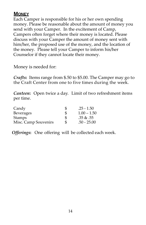# **MONEY**

Each Camper is responsible for his or her own spending money. Please be reasonable about the amount of money you send with your Camper. In the excitement of Camp, Campers often forget where their money is located. Please discuss with your Camper the amount of money sent with him/her, the proposed use of the money, and the location of the money. Please tell your Camper to inform his/her Counselor if they cannot locate their money.

Money is needed for:

*Crafts***:** Items range from \$.50 to \$5.00. The Camper may go to the Craft Center from one to five times during the week.

*Canteen***:** Open twice a day. Limit of two refreshment items per time.

| Candy                | S  | $.25 - 1.50$  |
|----------------------|----|---------------|
| <b>Beverages</b>     | \$ | $1.00 - 1.50$ |
| <b>Stamps</b>        | \$ | .35 & 0.55    |
| Misc. Camp Souvenirs | S  | $.50 - 25.00$ |

*Offerings***:** One offering will be collected each week.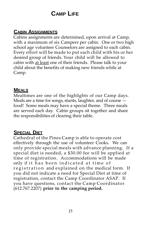# **CAMP LIFE**

# **CABIN ASSIGNMENTS**

Cabins assignments are determined, upon arrival at Camp, with a maximum of six Campers per cabin. One or two high school age volunteer Counselors are assigned to each cabin. Every effort will be made to put each child with his or her desired group of friends. Your child will be allowed to cabin with at least one of their friends. Please talk to your child about the benefits of making new friends while at Camp.

### **MEALS**

Mealtimes are one of the highlights of our Camp days. Meals are a time for songs, stunts, laughter, and of course food! Some meals may have a special theme. Three meals are served each day. Cabin groups sit together and share the responsibilities of clearing their table.

## **SPECIAL DIET**

Cathedral of the Pines Camp is able to operate cost effectively through the use of volunteer Cooks. We can only provide special meals with advance planning. If a special diet is needed, a \$30.00 fee will be applied at time of registration. Accommodations will be made only if it has been indicated at time of registration and explained on the medical form. If you did not indicate a need for Special Diet at time of registration, contact the Camp Coordinator ASAP. If you have questions, contact the Camp Coordinator (612.767.2207) **prior to the camping period.**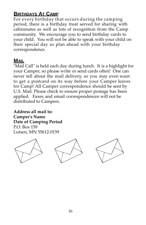# **BIRTHDAYS AT CAMP**

For every birthday that occurs during the camping period, there is a birthday treat served for sharing with cabinmates as well as lots of recognition from the Camp community. We encourage you to send birthday cards to your child. You will not be able to speak with your child on their special day so plan ahead with your birthday correspondence.

#### **MAIL**

"Mail Call" is held each day during lunch. It is a highlight for your Camper, so please write or send cards often! One can never tell about the mail delivery, so you may even want to get a postcard on its way before your Camper leaves for Camp! All Camper correspondence should be sent by U.S. Mail. Please check to ensure proper postage has been applied. Faxes and email correspondences will not be distributed to Campers.

**Address all mail to: Camperʹs Name Date of Camping Period** P.O. Box 159 Lutsen, MN 55612‐0159

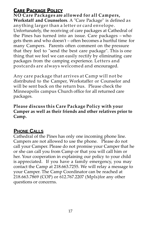# **CARE PACKAGE POLICY**

**NO Care Packages are allowed for all Campers, Workstaff and Counselors**. A "Care Package" is defined as anything larger than a letter or card envelope. Unfortunately, the receiving of care packages at Cathedral of the Pines has turned into an issue. Care packages – who gets them and who doesnʹt – often becomes a hurtful time for many Campers. Parents often comment on the pressure that they feel to "send the best care package". This is one thing that we feel we can easily rectify by eliminating care packages from the camping experience. Letters and postcards are always welcomed and encouraged.

Any care package that arrives at Camp will not be distributed to the Camper, Workstaffer or Counselor and will be sent back on the return bus. Please check the Minneapolis campus Church office for all returned care packages.

**Please discuss this Care Package Policy with your Camper as well as their friends and other relatives prior to Camp.**

## **PHONE CALLS**

Cathedral of the Pines has only one incoming phone line. Campers are not allowed to use the phone. Please do not call your Camper. Please do not promise your Camper that he or she can call you from Camp or that you will call him or her. Your cooperation in explaining our policy to your child is appreciated. If you have a family emergency, you may contact the Camp at 218.663.7255. We will relay a message to your Camper. The Camp Coordinator can be reached at 218.663.7869 (COP) or 612.767.2207 (Mpls)for any other questions or concerns.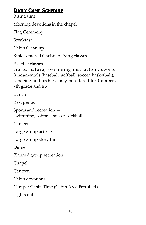# **DAILY CAMP SCHEDULE**

Rising time

Morning devotions in the chapel

Flag Ceremony

Breakfast

Cabin Clean up

Bible centered Christian living classes

Elective classes —

crafts, nature, swimming instruction, sports fundamentals (baseball, softball, soccer, basketball), canoeing and archery may be offered for Campers 7th grade and up

Lunch

Rest period

Sports and recreation swimming, softball, soccer, kickball

Canteen

Large group activity

Large group story time

Dinner

Planned group recreation

Chapel

Canteen

Cabin devotions

Camper Cabin Time (Cabin Area Patrolled)

Lights out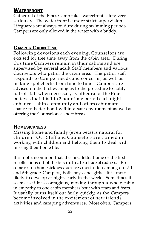# **WATERFRONT**

Cathedral of the Pines Camp takes waterfront safety very seriously. The waterfront is under strict supervision. Lifeguards are always on duty during swimming periods. Campers are only allowed in the water with a buddy.

# **CAMPER CABIN TIME**

Following devotions each evening, Counselors are excused for free time away from the cabin area. During this time Campers remain in their cabins and are supervised by several adult Staff members and various Counselors who patrol the cabin area. The patrol staff responds to Camper needs and concerns, as well as making spot checks from time to time. Campers are advised on the first evening as to the procedure to notify patrol staff when necessary. Cathedral of the Pines believes that this 1 to 2 hour time period each night enhances cabin community and offers cabinmates a chance to better bond within a safe environment as well as offering the Counselors a short break.

## **HOMESICKNESS**

Missing home and family (even pets) is natural for children. Our Staff and Counselors are trained in working with children and helping them to deal with missing their home life.

It is not uncommon that the first letter home or the first recollections off of the bus indicate a trace of sadness. For some reason homesickness surfaces most often among our 5th and 6th grade Campers, both boys and girls. It is most likely to develop at night, early in the week. Sometimes it seems as if it is contagious, moving through a whole cabin in empathy to one cabin members bout with tears and fears. It usually burns itself out fairly quickly, as the Campers become involved in the excitement of new friends, activities and camping adventures. Most often, Campers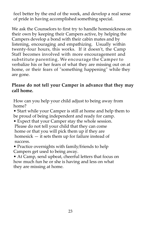feel better by the end of the week, and develop a real sense of pride in having accomplished something special.

We ask the Counselors to first try to handle homesickness on their own by keeping their Campers active, by helping the Campers develop a bond with their cabin mates and by listening, encouraging and empathizing. Usually within twenty-four hours, this works. If it doesn't, the Camp Staff becomes involved with more encouragement and substitute parenting. We encourage the Camper to verbalize his or her fears of what they are missing out on at home, or their fears of "something happening" while they are gone.

#### **Please do not tell your Camper in advance that they may call home.**

How can you help your child adjust to being away from home?

• Start while your Camper is still at home and help them to be proud of being independent and ready for camp.

- Expect that your Camper stay the whole session. Please do not tell your child that they can come home or that you will pick them up if they are homesick — it sets them up for failure instead of success.
- Practice overnights with family/friends to help Campers get used to being away.
- At Camp, send upbeat, cheerful letters that focus on how much fun he or she is having and less on what they are missing at home.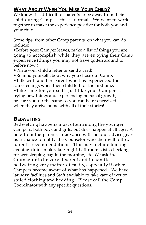# **WHAT ABOUT WHEN YOU MISS YOUR CHILD?**

We know it is difficult for parents to be away from their child during Camp — this is normal. We want to work together to make the experience positive for both you and your child!

Some tips, from other Camp parents, on what you can do include:

•Before your Camper leaves, make a list of things you are going to accomplish while they are enjoying their Camp experience (things you may not have gotten around to before now!)

- •Write your child a letter or send a card!
- •Remind yourself about why you chose our Camp.

•Talk with another parent who has experienced the same feelings when their child left for the first time.

•Take time for yourself! Just like your Camper is trying new things and experiencing personal growth, be sure you do the same so you can be re‐energized when they arrive home with all of their stories!

## **BEDWETTING**

Bedwetting happens most often among the younger Campers, both boys and girls, but does happen at all ages. A note from the parents in advance with helpful advice gives us a chance to notify the Counselor who then will follow parent's recommendations. This may include limiting evening fluid intake, late night bathroom visit, checking for wet sleeping bag in the morning, etc. We ask the Counselor to be very discreet and to handle bedwetting very matter‐of‐factly, especially if other Campers become aware of what has happened. We have laundry facilities and Staff available to take care of wet or soiled clothing and bedding. Please call the Camp Coordinator with any specific questions.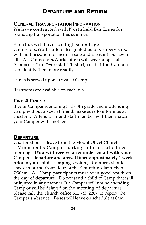# **DEPARTURE AND RETURN**

## **GENERAL TRANSPORTATION INFORMATION**

We have contracted with Northfield Bus Lines for roundtrip transportation this summer.

Each bus will have two high school age Counselors/Workstaffers designated as bus supervisors, with authorization to ensure a safe and pleasant journey for all. All Counselors/Workstaffers will wear a special "Counselor" or "Workstaff" T- shirt, so that the Campers can identify them more readily.

Lunch is served upon arrival at Camp.

Restrooms are available on each bus.

# **FIND A FRIEND**

If your Camper is entering 3rd ‐ 8th grade and is attending Camp without a special friend, make sure to inform us at check‐in. A Find a Friend staff member will then match your Camper with another.

#### **DEPARTURE**

Chartered buses leave from the Mount Olivet Church – Minneapolis Campus parking lot each scheduled morning. **(You will receive a reminder email with your Camperʹs departure and arrival times approximately 1 week prior to your child's camping session.)** Campers should check in at the front door of the Church no later than 7:30am. All Camp participants must be in good health on the day of departure. Do not send a child to Camp that is ill or injured in any manner. If a Camper will not be attending Camp or will be delayed on the morning of departure, please call the church office 612.767.2207 to report the Camperʹs absence. Buses will leave on schedule at 8am.